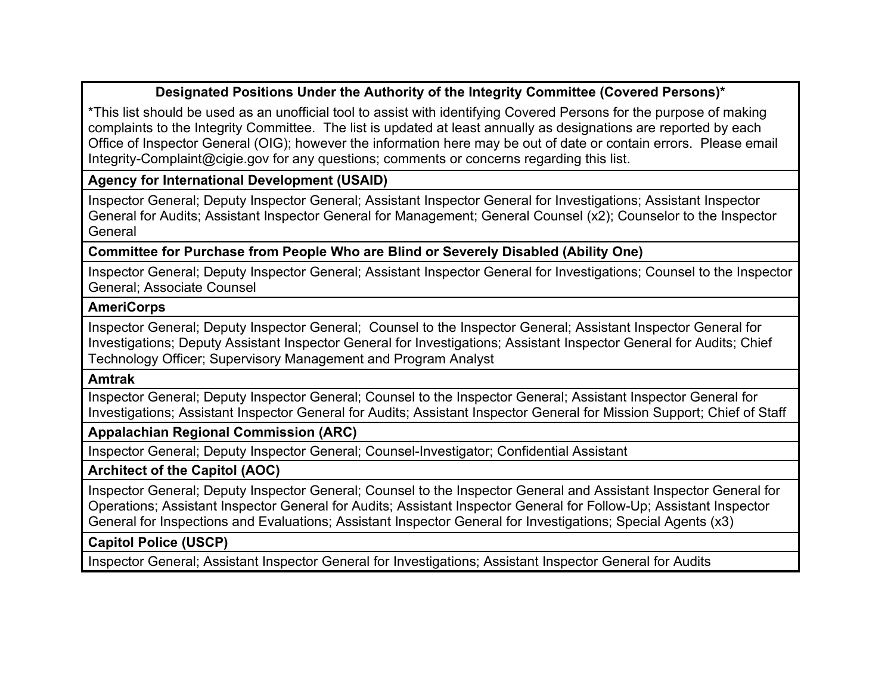# **Designated Positions Under the Authority of the Integrity Committee (Covered Persons)\***

\*This list should be used as an unofficial tool to assist with identifying Covered Persons for the purpose of making complaints to the Integrity Committee. The list is updated at least annually as designations are reported by each Office of Inspector General (OIG); however the information here may be out of date or contain errors. Please email Integrity-Complaint@cigie.gov for any questions; comments or concerns regarding this list.

## **Agency for International Development (USAID)**

Inspector General; Deputy Inspector General; Assistant Inspector General for Investigations; Assistant Inspector General for Audits; Assistant Inspector General for Management; General Counsel (x2); Counselor to the Inspector General

## **Committee for Purchase from People Who are Blind or Severely Disabled (Ability One)**

Inspector General; Deputy Inspector General; Assistant Inspector General for Investigations; Counsel to the Inspector General; Associate Counsel

# **AmeriCorps**

Inspector General; Deputy Inspector General; Counsel to the Inspector General; Assistant Inspector General for Investigations; Deputy Assistant Inspector General for Investigations; Assistant Inspector General for Audits; Chief Technology Officer; Supervisory Management and Program Analyst

## **Amtrak**

Inspector General; Deputy Inspector General; Counsel to the Inspector General; Assistant Inspector General for Investigations; Assistant Inspector General for Audits; Assistant Inspector General for Mission Support; Chief of Staff

## **Appalachian Regional Commission (ARC)**

Inspector General; Deputy Inspector General; Counsel-Investigator; Confidential Assistant

## **Architect of the Capitol (AOC)**

Inspector General; Deputy Inspector General; Counsel to the Inspector General and Assistant Inspector General for Operations; Assistant Inspector General for Audits; Assistant Inspector General for Follow-Up; Assistant Inspector General for Inspections and Evaluations; Assistant Inspector General for Investigations; Special Agents (x3)

# **Capitol Police (USCP)**

Inspector General; Assistant Inspector General for Investigations; Assistant Inspector General for Audits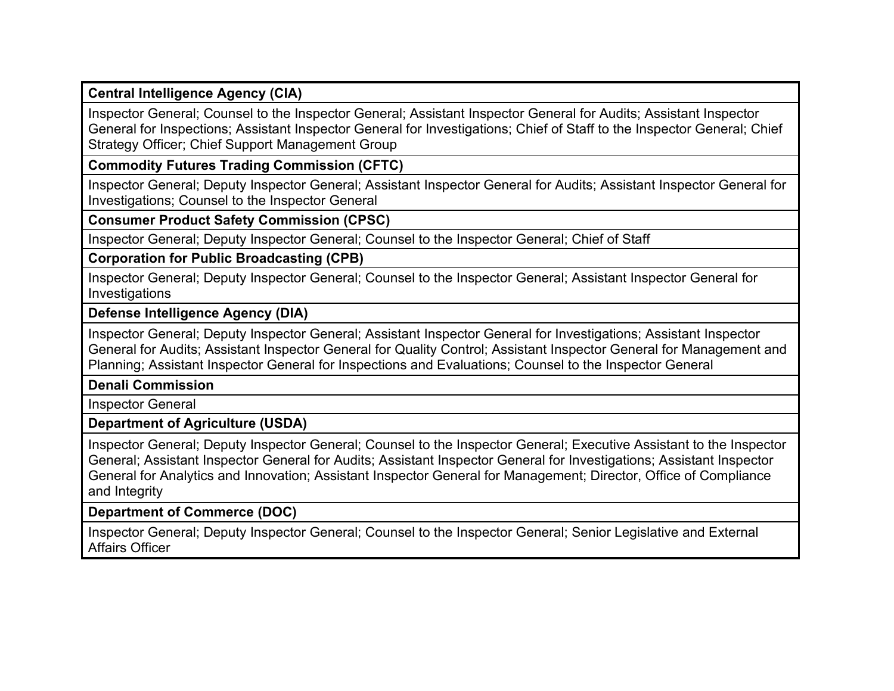**Central Intelligence Agency (CIA)**

Inspector General; Counsel to the Inspector General; Assistant Inspector General for Audits; Assistant Inspector General for Inspections; Assistant Inspector General for Investigations; Chief of Staff to the Inspector General; Chief Strategy Officer; Chief Support Management Group

**Commodity Futures Trading Commission (CFTC)**

Inspector General; Deputy Inspector General; Assistant Inspector General for Audits; Assistant Inspector General for Investigations; Counsel to the Inspector General

**Consumer Product Safety Commission (CPSC)**

Inspector General; Deputy Inspector General; Counsel to the Inspector General; Chief of Staff

**Corporation for Public Broadcasting (CPB)**

Inspector General; Deputy Inspector General; Counsel to the Inspector General; Assistant Inspector General for Investigations

**Defense Intelligence Agency (DIA)**

Inspector General; Deputy Inspector General; Assistant Inspector General for Investigations; Assistant Inspector General for Audits; Assistant Inspector General for Quality Control; Assistant Inspector General for Management and Planning; Assistant Inspector General for Inspections and Evaluations; Counsel to the Inspector General

**Denali Commission**

Inspector General

**Department of Agriculture (USDA)**

Inspector General; Deputy Inspector General; Counsel to the Inspector General; Executive Assistant to the Inspector General; Assistant Inspector General for Audits; Assistant Inspector General for Investigations; Assistant Inspector General for Analytics and Innovation; Assistant Inspector General for Management; Director, Office of Compliance and Integrity

**Department of Commerce (DOC)**

Inspector General; Deputy Inspector General; Counsel to the Inspector General; Senior Legislative and External Affairs Officer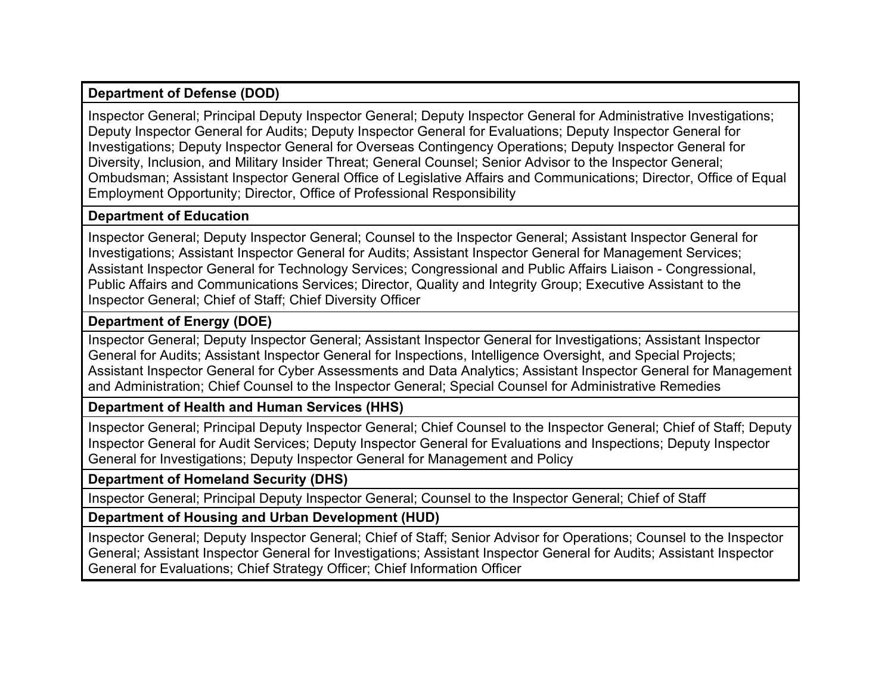# **Department of Defense (DOD)**

Inspector General; Principal Deputy Inspector General; Deputy Inspector General for Administrative Investigations; Deputy Inspector General for Audits; Deputy Inspector General for Evaluations; Deputy Inspector General for Investigations; Deputy Inspector General for Overseas Contingency Operations; Deputy Inspector General for Diversity, Inclusion, and Military Insider Threat; General Counsel; Senior Advisor to the Inspector General; Ombudsman; Assistant Inspector General Office of Legislative Affairs and Communications; Director, Office of Equal Employment Opportunity; Director, Office of Professional Responsibility

# **Department of Education**

Inspector General; Deputy Inspector General; Counsel to the Inspector General; Assistant Inspector General for Investigations; Assistant Inspector General for Audits; Assistant Inspector General for Management Services; Assistant Inspector General for Technology Services; Congressional and Public Affairs Liaison - Congressional, Public Affairs and Communications Services; Director, Quality and Integrity Group; Executive Assistant to the Inspector General; Chief of Staff; Chief Diversity Officer

# **Department of Energy (DOE)**

Inspector General; Deputy Inspector General; Assistant Inspector General for Investigations; Assistant Inspector General for Audits; Assistant Inspector General for Inspections, Intelligence Oversight, and Special Projects; Assistant Inspector General for Cyber Assessments and Data Analytics; Assistant Inspector General for Management and Administration; Chief Counsel to the Inspector General; Special Counsel for Administrative Remedies

# **Department of Health and Human Services (HHS)**

Inspector General; Principal Deputy Inspector General; Chief Counsel to the Inspector General; Chief of Staff; Deputy Inspector General for Audit Services; Deputy Inspector General for Evaluations and Inspections; Deputy Inspector General for Investigations; Deputy Inspector General for Management and Policy

# **Department of Homeland Security (DHS)**

Inspector General; Principal Deputy Inspector General; Counsel to the Inspector General; Chief of Staff

# **Department of Housing and Urban Development (HUD)**

Inspector General; Deputy Inspector General; Chief of Staff; Senior Advisor for Operations; Counsel to the Inspector General; Assistant Inspector General for Investigations; Assistant Inspector General for Audits; Assistant Inspector General for Evaluations; Chief Strategy Officer; Chief Information Officer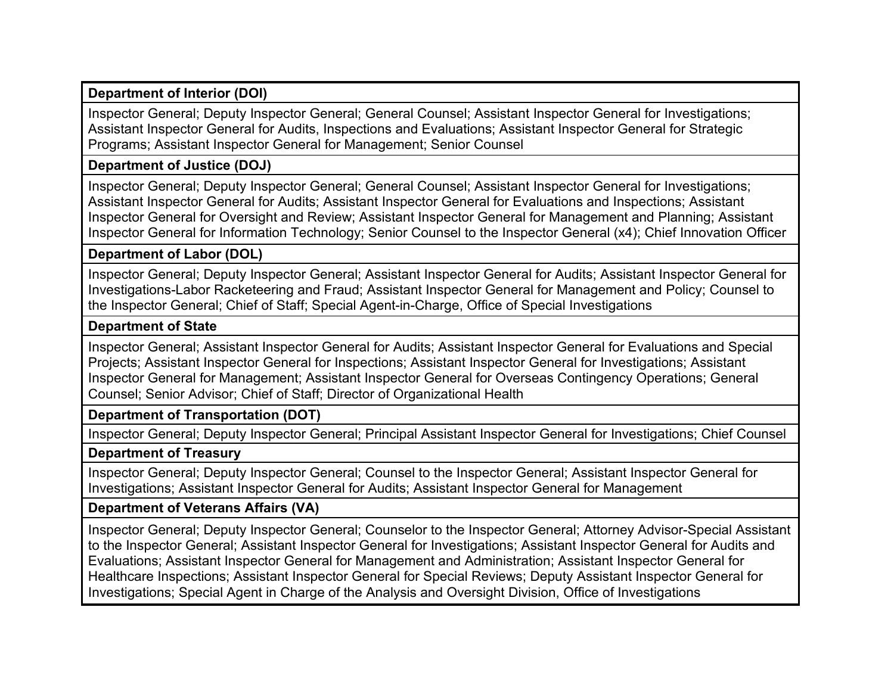### **Department of Interior (DOI)**

Inspector General; Deputy Inspector General; General Counsel; Assistant Inspector General for Investigations; Assistant Inspector General for Audits, Inspections and Evaluations; Assistant Inspector General for Strategic Programs; Assistant Inspector General for Management; Senior Counsel

#### **Department of Justice (DOJ)**

Inspector General; Deputy Inspector General; General Counsel; Assistant Inspector General for Investigations; Assistant Inspector General for Audits; Assistant Inspector General for Evaluations and Inspections; Assistant Inspector General for Oversight and Review; Assistant Inspector General for Management and Planning; Assistant Inspector General for Information Technology; Senior Counsel to the Inspector General (x4); Chief Innovation Officer

#### **Department of Labor (DOL)**

Inspector General; Deputy Inspector General; Assistant Inspector General for Audits; Assistant Inspector General for Investigations-Labor Racketeering and Fraud; Assistant Inspector General for Management and Policy; Counsel to the Inspector General; Chief of Staff; Special Agent-in-Charge, Office of Special Investigations

#### **Department of State**

Inspector General; Assistant Inspector General for Audits; Assistant Inspector General for Evaluations and Special Projects; Assistant Inspector General for Inspections; Assistant Inspector General for Investigations; Assistant Inspector General for Management; Assistant Inspector General for Overseas Contingency Operations; General Counsel; Senior Advisor; Chief of Staff; Director of Organizational Health

### **Department of Transportation (DOT)**

Inspector General; Deputy Inspector General; Principal Assistant Inspector General for Investigations; Chief Counsel

#### **Department of Treasury**

Inspector General; Deputy Inspector General; Counsel to the Inspector General; Assistant Inspector General for Investigations; Assistant Inspector General for Audits; Assistant Inspector General for Management

#### **Department of Veterans Affairs (VA)**

Inspector General; Deputy Inspector General; Counselor to the Inspector General; Attorney Advisor-Special Assistant to the Inspector General; Assistant Inspector General for Investigations; Assistant Inspector General for Audits and Evaluations; Assistant Inspector General for Management and Administration; Assistant Inspector General for Healthcare Inspections; Assistant Inspector General for Special Reviews; Deputy Assistant Inspector General for Investigations; Special Agent in Charge of the Analysis and Oversight Division, Office of Investigations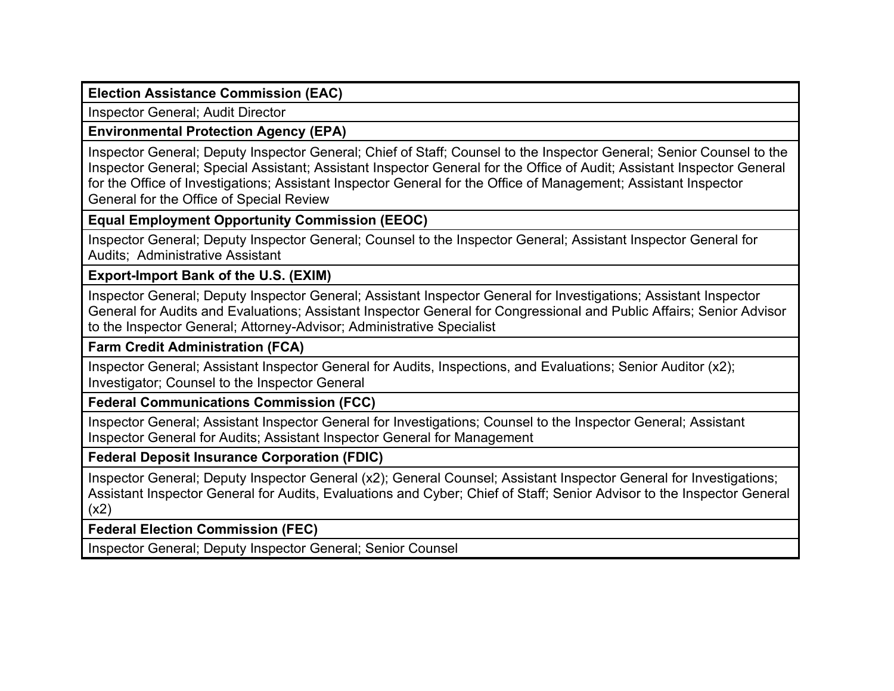#### **Election Assistance Commission (EAC)**

Inspector General; Audit Director

# **Environmental Protection Agency (EPA)**

Inspector General; Deputy Inspector General; Chief of Staff; Counsel to the Inspector General; Senior Counsel to the Inspector General; Special Assistant; Assistant Inspector General for the Office of Audit; Assistant Inspector General for the Office of Investigations; Assistant Inspector General for the Office of Management; Assistant Inspector General for the Office of Special Review

# **Equal Employment Opportunity Commission (EEOC)**

Inspector General; Deputy Inspector General; Counsel to the Inspector General; Assistant Inspector General for Audits; Administrative Assistant

# **Export-Import Bank of the U.S. (EXIM)**

Inspector General; Deputy Inspector General; Assistant Inspector General for Investigations; Assistant Inspector General for Audits and Evaluations; Assistant Inspector General for Congressional and Public Affairs; Senior Advisor to the Inspector General; Attorney-Advisor; Administrative Specialist

## **Farm Credit Administration (FCA)**

Inspector General; Assistant Inspector General for Audits, Inspections, and Evaluations; Senior Auditor (x2); Investigator; Counsel to the Inspector General

## **Federal Communications Commission (FCC)**

Inspector General; Assistant Inspector General for Investigations; Counsel to the Inspector General; Assistant Inspector General for Audits; Assistant Inspector General for Management

# **Federal Deposit Insurance Corporation (FDIC)**

Inspector General; Deputy Inspector General (x2); General Counsel; Assistant Inspector General for Investigations; Assistant Inspector General for Audits, Evaluations and Cyber; Chief of Staff; Senior Advisor to the Inspector General (x2)

# **Federal Election Commission (FEC)**

Inspector General; Deputy Inspector General; Senior Counsel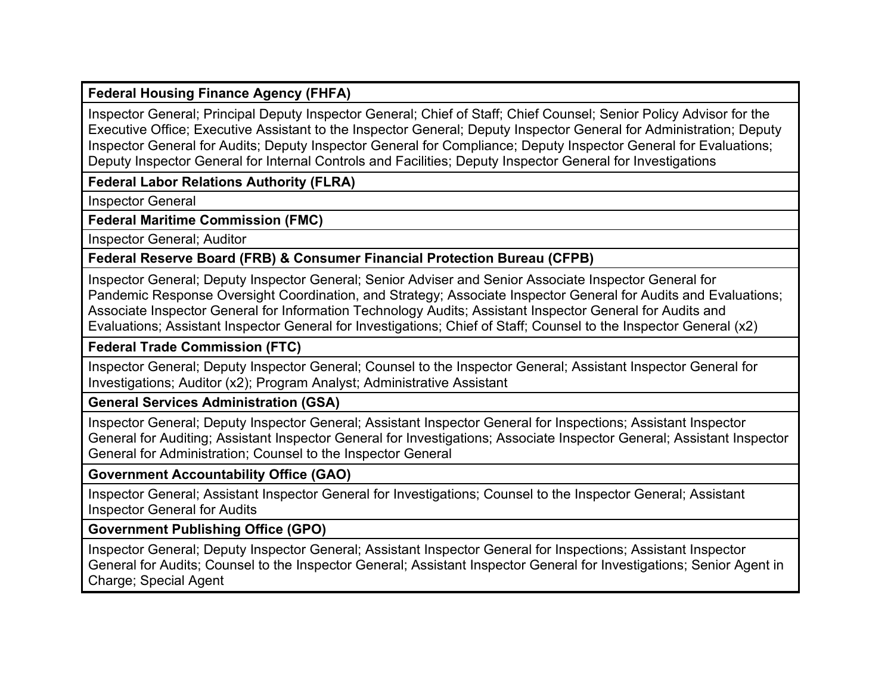#### **Federal Housing Finance Agency (FHFA)**

Inspector General; Principal Deputy Inspector General; Chief of Staff; Chief Counsel; Senior Policy Advisor for the Executive Office; Executive Assistant to the Inspector General; Deputy Inspector General for Administration; Deputy Inspector General for Audits; Deputy Inspector General for Compliance; Deputy Inspector General for Evaluations; Deputy Inspector General for Internal Controls and Facilities; Deputy Inspector General for Investigations

# **Federal Labor Relations Authority (FLRA)**

Inspector General

**Federal Maritime Commission (FMC)**

Inspector General; Auditor

**Federal Reserve Board (FRB) & Consumer Financial Protection Bureau (CFPB)**

Inspector General; Deputy Inspector General; Senior Adviser and Senior Associate Inspector General for Pandemic Response Oversight Coordination, and Strategy; Associate Inspector General for Audits and Evaluations; Associate Inspector General for Information Technology Audits; Assistant Inspector General for Audits and Evaluations; Assistant Inspector General for Investigations; Chief of Staff; Counsel to the Inspector General (x2)

**Federal Trade Commission (FTC)**

Inspector General; Deputy Inspector General; Counsel to the Inspector General; Assistant Inspector General for Investigations; Auditor (x2); Program Analyst; Administrative Assistant

**General Services Administration (GSA)**

Inspector General; Deputy Inspector General; Assistant Inspector General for Inspections; Assistant Inspector General for Auditing; Assistant Inspector General for Investigations; Associate Inspector General; Assistant Inspector General for Administration; Counsel to the Inspector General

**Government Accountability Office (GAO)**

Inspector General; Assistant Inspector General for Investigations; Counsel to the Inspector General; Assistant Inspector General for Audits

**Government Publishing Office (GPO)**

Inspector General; Deputy Inspector General; Assistant Inspector General for Inspections; Assistant Inspector General for Audits; Counsel to the Inspector General; Assistant Inspector General for Investigations; Senior Agent in Charge; Special Agent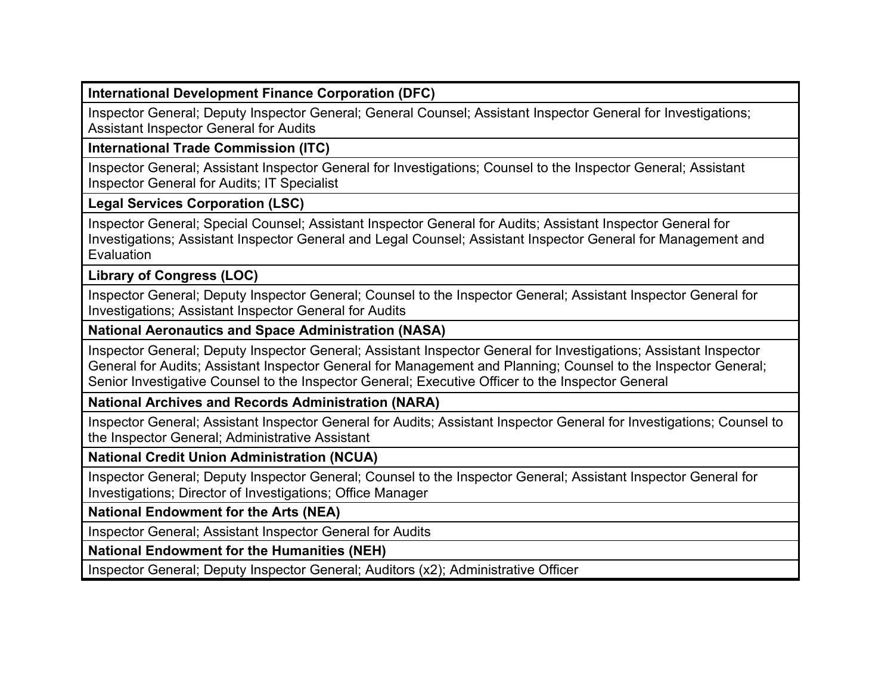### **International Development Finance Corporation (DFC)**

Inspector General; Deputy Inspector General; General Counsel; Assistant Inspector General for Investigations; Assistant Inspector General for Audits

#### **International Trade Commission (ITC)**

Inspector General; Assistant Inspector General for Investigations; Counsel to the Inspector General; Assistant Inspector General for Audits; IT Specialist

#### **Legal Services Corporation (LSC)**

Inspector General; Special Counsel; Assistant Inspector General for Audits; Assistant Inspector General for Investigations; Assistant Inspector General and Legal Counsel; Assistant Inspector General for Management and **Evaluation** 

## **Library of Congress (LOC)**

Inspector General; Deputy Inspector General; Counsel to the Inspector General; Assistant Inspector General for Investigations; Assistant Inspector General for Audits

#### **National Aeronautics and Space Administration (NASA)**

Inspector General; Deputy Inspector General; Assistant Inspector General for Investigations; Assistant Inspector General for Audits; Assistant Inspector General for Management and Planning; Counsel to the Inspector General; Senior Investigative Counsel to the Inspector General; Executive Officer to the Inspector General

### **National Archives and Records Administration (NARA)**

Inspector General; Assistant Inspector General for Audits; Assistant Inspector General for Investigations; Counsel to the Inspector General; Administrative Assistant

#### **National Credit Union Administration (NCUA)**

Inspector General; Deputy Inspector General; Counsel to the Inspector General; Assistant Inspector General for Investigations; Director of Investigations; Office Manager

### **National Endowment for the Arts (NEA)**

Inspector General; Assistant Inspector General for Audits

### **National Endowment for the Humanities (NEH)**

Inspector General; Deputy Inspector General; Auditors (x2); Administrative Officer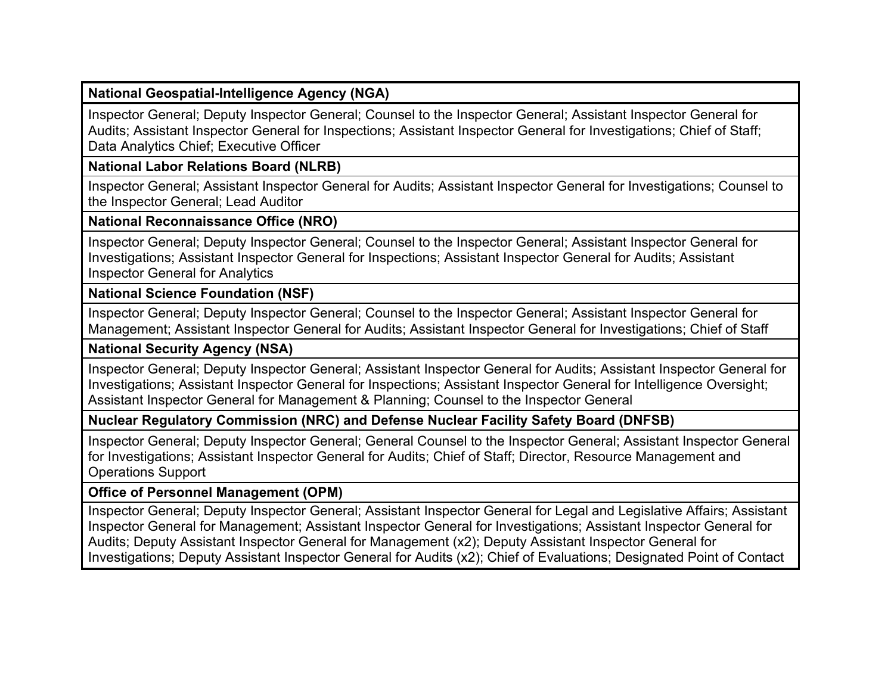#### **National Geospatial-Intelligence Agency (NGA)**

Inspector General; Deputy Inspector General; Counsel to the Inspector General; Assistant Inspector General for Audits; Assistant Inspector General for Inspections; Assistant Inspector General for Investigations; Chief of Staff; Data Analytics Chief; Executive Officer

#### **National Labor Relations Board (NLRB)**

Inspector General; Assistant Inspector General for Audits; Assistant Inspector General for Investigations; Counsel to the Inspector General; Lead Auditor

#### **National Reconnaissance Office (NRO)**

Inspector General; Deputy Inspector General; Counsel to the Inspector General; Assistant Inspector General for Investigations; Assistant Inspector General for Inspections; Assistant Inspector General for Audits; Assistant Inspector General for Analytics

#### **National Science Foundation (NSF)**

Inspector General; Deputy Inspector General; Counsel to the Inspector General; Assistant Inspector General for Management; Assistant Inspector General for Audits; Assistant Inspector General for Investigations; Chief of Staff

#### **National Security Agency (NSA)**

Inspector General; Deputy Inspector General; Assistant Inspector General for Audits; Assistant Inspector General for Investigations; Assistant Inspector General for Inspections; Assistant Inspector General for Intelligence Oversight; Assistant Inspector General for Management & Planning; Counsel to the Inspector General

#### **Nuclear Regulatory Commission (NRC) and Defense Nuclear Facility Safety Board (DNFSB)**

Inspector General; Deputy Inspector General; General Counsel to the Inspector General; Assistant Inspector General for Investigations; Assistant Inspector General for Audits; Chief of Staff; Director, Resource Management and Operations Support

#### **Office of Personnel Management (OPM)**

Inspector General; Deputy Inspector General; Assistant Inspector General for Legal and Legislative Affairs; Assistant Inspector General for Management; Assistant Inspector General for Investigations; Assistant Inspector General for Audits; Deputy Assistant Inspector General for Management (x2); Deputy Assistant Inspector General for Investigations; Deputy Assistant Inspector General for Audits (x2); Chief of Evaluations; Designated Point of Contact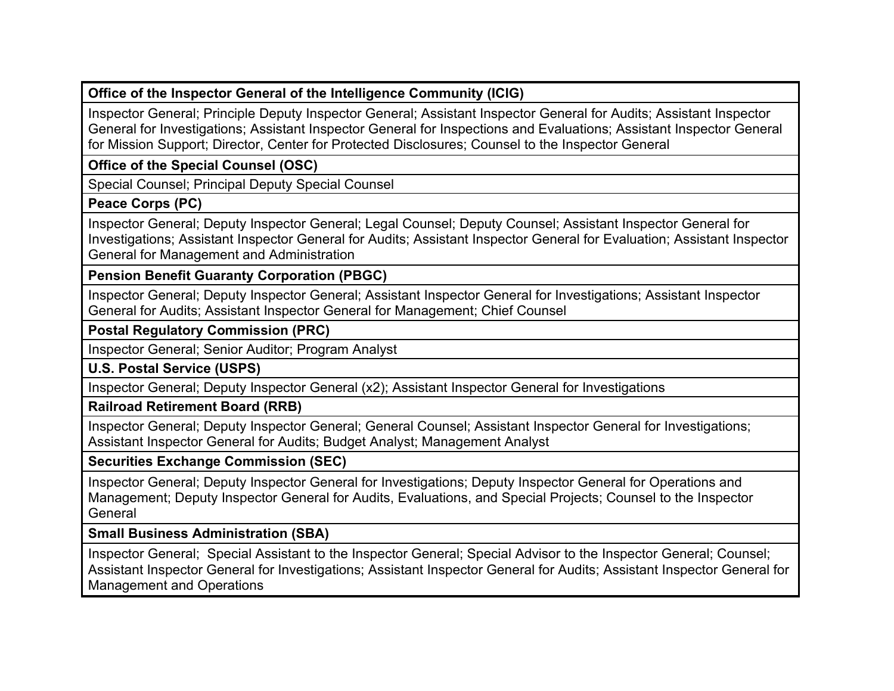## **Office of the Inspector General of the Intelligence Community (ICIG)**

Inspector General; Principle Deputy Inspector General; Assistant Inspector General for Audits; Assistant Inspector General for Investigations; Assistant Inspector General for Inspections and Evaluations; Assistant Inspector General for Mission Support; Director, Center for Protected Disclosures; Counsel to the Inspector General

**Office of the Special Counsel (OSC)**

Special Counsel; Principal Deputy Special Counsel

**Peace Corps (PC)**

Inspector General; Deputy Inspector General; Legal Counsel; Deputy Counsel; Assistant Inspector General for Investigations; Assistant Inspector General for Audits; Assistant Inspector General for Evaluation; Assistant Inspector General for Management and Administration

**Pension Benefit Guaranty Corporation (PBGC)**

Inspector General; Deputy Inspector General; Assistant Inspector General for Investigations; Assistant Inspector General for Audits; Assistant Inspector General for Management; Chief Counsel

**Postal Regulatory Commission (PRC)**

Inspector General; Senior Auditor; Program Analyst

**U.S. Postal Service (USPS)**

Inspector General; Deputy Inspector General (x2); Assistant Inspector General for Investigations

**Railroad Retirement Board (RRB)**

Inspector General; Deputy Inspector General; General Counsel; Assistant Inspector General for Investigations; Assistant Inspector General for Audits; Budget Analyst; Management Analyst

**Securities Exchange Commission (SEC)**

Inspector General; Deputy Inspector General for Investigations; Deputy Inspector General for Operations and Management; Deputy Inspector General for Audits, Evaluations, and Special Projects; Counsel to the Inspector **General** 

**Small Business Administration (SBA)**

Inspector General; Special Assistant to the Inspector General; Special Advisor to the Inspector General; Counsel; Assistant Inspector General for Investigations; Assistant Inspector General for Audits; Assistant Inspector General for Management and Operations